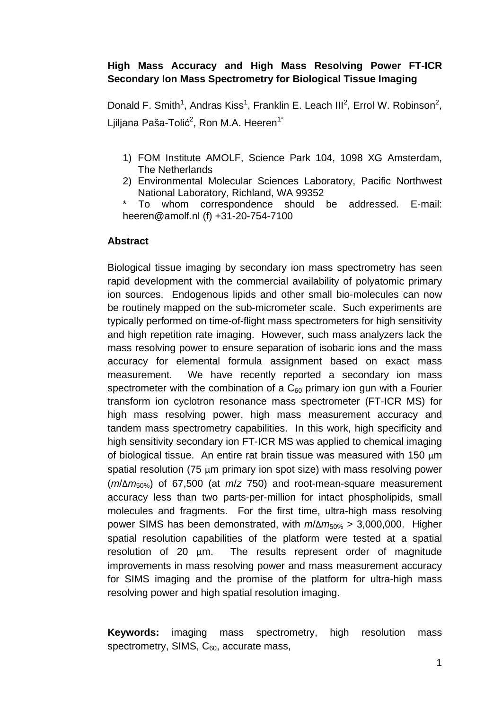# **High Mass Accuracy and High Mass Resolving Power FT-ICR Secondary Ion Mass Spectrometry for Biological Tissue Imaging**

Donald F. Smith<sup>1</sup>, Andras Kiss<sup>1</sup>, Franklin E. Leach III<sup>2</sup>, Errol W. Robinson<sup>2</sup>, Ljiljana Paša-Tolić<sup>2</sup>, Ron M.A. Heeren<sup>1\*</sup>

- 1) FOM Institute AMOLF, Science Park 104, 1098 XG Amsterdam, The Netherlands
- 2) Environmental Molecular Sciences Laboratory, Pacific Northwest National Laboratory, Richland, WA 99352
- To whom correspondence should be addressed. E-mail: heeren@amolf.nl (f) +31-20-754-7100

# **Abstract**

Biological tissue imaging by secondary ion mass spectrometry has seen rapid development with the commercial availability of polyatomic primary ion sources. Endogenous lipids and other small bio-molecules can now be routinely mapped on the sub-micrometer scale. Such experiments are typically performed on time-of-flight mass spectrometers for high sensitivity and high repetition rate imaging. However, such mass analyzers lack the mass resolving power to ensure separation of isobaric ions and the mass accuracy for elemental formula assignment based on exact mass measurement. We have recently reported a secondary ion mass spectrometer with the combination of a  $C_{60}$  primary ion gun with a Fourier transform ion cyclotron resonance mass spectrometer (FT-ICR MS) for high mass resolving power, high mass measurement accuracy and tandem mass spectrometry capabilities. In this work, high specificity and high sensitivity secondary ion FT-ICR MS was applied to chemical imaging of biological tissue. An entire rat brain tissue was measured with 150  $\mu$ m spatial resolution (75 µm primary ion spot size) with mass resolving power (*m*/Δ*m*50%) of 67,500 (at *m*/*z* 750) and root-mean-square measurement accuracy less than two parts-per-million for intact phospholipids, small molecules and fragments. For the first time, ultra-high mass resolving power SIMS has been demonstrated, with *m*/Δ*m*50% > 3,000,000. Higher spatial resolution capabilities of the platform were tested at a spatial resolution of 20 µm. The results represent order of magnitude improvements in mass resolving power and mass measurement accuracy for SIMS imaging and the promise of the platform for ultra-high mass resolving power and high spatial resolution imaging.

**Keywords:** imaging mass spectrometry, high resolution mass spectrometry, SIMS,  $C_{60}$ , accurate mass,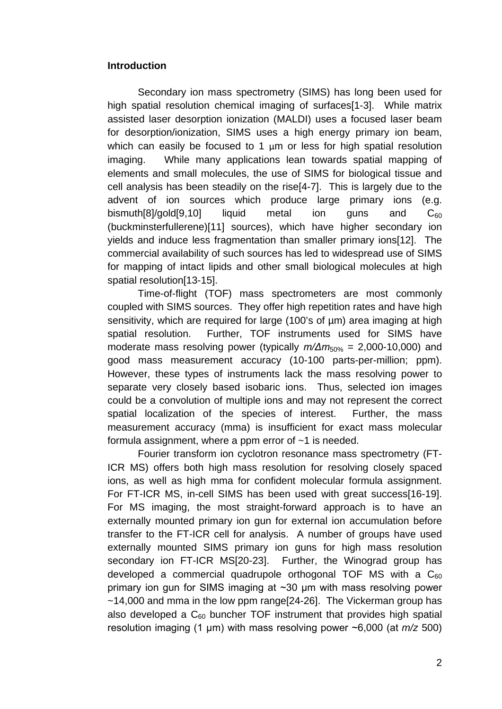## **Introduction**

Secondary ion mass spectrometry (SIMS) has long been used for high spatial resolution chemical imaging of surfaces[1-3]. While matrix assisted laser desorption ionization (MALDI) uses a focused laser beam for desorption/ionization, SIMS uses a high energy primary ion beam, which can easily be focused to 1  $\mu$ m or less for high spatial resolution imaging. While many applications lean towards spatial mapping of elements and small molecules, the use of SIMS for biological tissue and cell analysis has been steadily on the rise[4-7]. This is largely due to the advent of ion sources which produce large primary ions (e.g. bismuth[8]/gold[9,10] liquid metal ion guns and  $C_{60}$ (buckminsterfullerene)[11] sources), which have higher secondary ion yields and induce less fragmentation than smaller primary ions[12]. The commercial availability of such sources has led to widespread use of SIMS for mapping of intact lipids and other small biological molecules at high spatial resolution[13-15].

Time-of-flight (TOF) mass spectrometers are most commonly coupled with SIMS sources. They offer high repetition rates and have high sensitivity, which are required for large (100's of  $\mu$ m) area imaging at high spatial resolution. Further, TOF instruments used for SIMS have moderate mass resolving power (typically *m/Δm*50% = 2,000-10,000) and good mass measurement accuracy (10-100 parts-per-million; ppm). However, these types of instruments lack the mass resolving power to separate very closely based isobaric ions. Thus, selected ion images could be a convolution of multiple ions and may not represent the correct spatial localization of the species of interest. Further, the mass measurement accuracy (mma) is insufficient for exact mass molecular formula assignment, where a ppm error of  $\sim$ 1 is needed.

Fourier transform ion cyclotron resonance mass spectrometry (FT-ICR MS) offers both high mass resolution for resolving closely spaced ions, as well as high mma for confident molecular formula assignment. For FT-ICR MS, in-cell SIMS has been used with great success[16-19]. For MS imaging, the most straight-forward approach is to have an externally mounted primary ion gun for external ion accumulation before transfer to the FT-ICR cell for analysis. A number of groups have used externally mounted SIMS primary ion guns for high mass resolution secondary ion FT-ICR MS[20-23]. Further, the Winograd group has developed a commercial quadrupole orthogonal TOF MS with a  $C_{60}$ primary ion gun for SIMS imaging at ~30 μm with mass resolving power  $~14,000$  and mma in the low ppm range $[24-26]$ . The Vickerman group has also developed a  $C_{60}$  buncher TOF instrument that provides high spatial resolution imaging (1 μm) with mass resolving power ~6,000 (at *m/z* 500)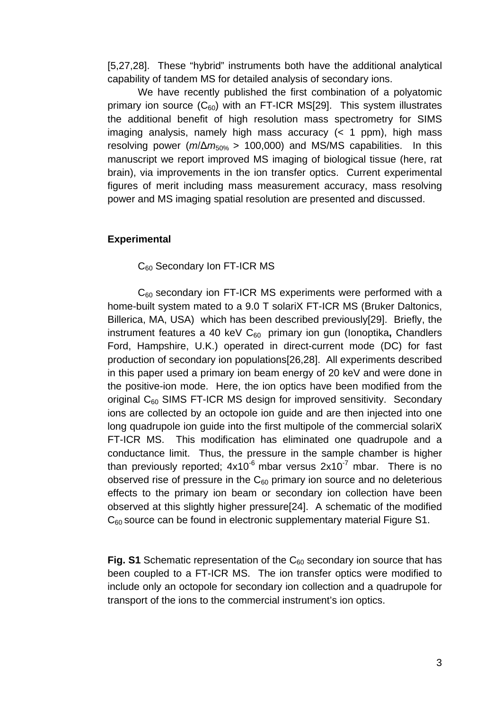[5,27,28]. These "hybrid" instruments both have the additional analytical capability of tandem MS for detailed analysis of secondary ions.

We have recently published the first combination of a polyatomic primary ion source  $(C_{60})$  with an FT-ICR MS[29]. This system illustrates the additional benefit of high resolution mass spectrometry for SIMS imaging analysis, namely high mass accuracy (< 1 ppm), high mass resolving power ( $m/\Delta m_{50\%} > 100,000$ ) and MS/MS capabilities. In this manuscript we report improved MS imaging of biological tissue (here, rat brain), via improvements in the ion transfer optics. Current experimental figures of merit including mass measurement accuracy, mass resolving power and MS imaging spatial resolution are presented and discussed.

## **Experimental**

C<sub>60</sub> Secondary Ion FT-ICR MS

 $C_{60}$  secondary ion FT-ICR MS experiments were performed with a home-built system mated to a 9.0 T solariX FT-ICR MS (Bruker Daltonics, Billerica, MA, USA) which has been described previously[29]. Briefly, the instrument features a 40 keV C<sub>60</sub> primary ion gun (lonoptika, Chandlers Ford, Hampshire, U.K.) operated in direct-current mode (DC) for fast production of secondary ion populations[26,28]. All experiments described in this paper used a primary ion beam energy of 20 keV and were done in the positive-ion mode. Here, the ion optics have been modified from the original  $C_{60}$  SIMS FT-ICR MS design for improved sensitivity. Secondary ions are collected by an octopole ion guide and are then injected into one long quadrupole ion guide into the first multipole of the commercial solariX FT-ICR MS. This modification has eliminated one quadrupole and a conductance limit. Thus, the pressure in the sample chamber is higher than previously reported:  $4x10^{-6}$  mbar versus  $2x10^{-7}$  mbar. There is no observed rise of pressure in the  $C_{60}$  primary ion source and no deleterious effects to the primary ion beam or secondary ion collection have been observed at this slightly higher pressure[24]. A schematic of the modified  $C_{60}$  source can be found in electronic supplementary material Figure S1.

**Fig. S1** Schematic representation of the  $C_{60}$  secondary ion source that has been coupled to a FT-ICR MS. The ion transfer optics were modified to include only an octopole for secondary ion collection and a quadrupole for transport of the ions to the commercial instrument's ion optics.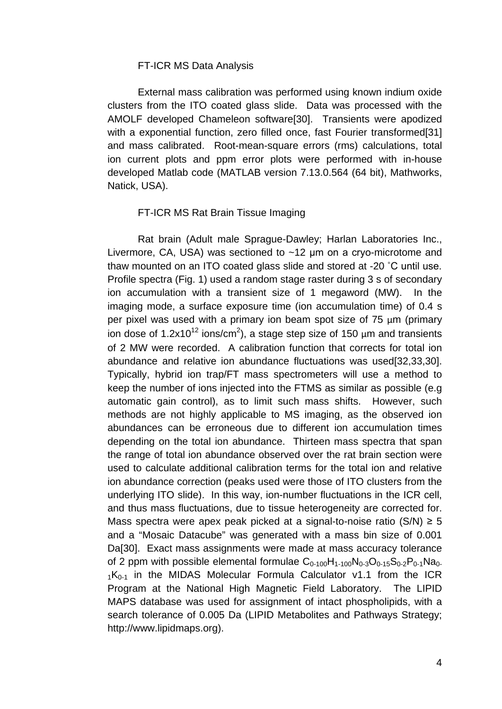#### FT-ICR MS Data Analysis

External mass calibration was performed using known indium oxide clusters from the ITO coated glass slide. Data was processed with the AMOLF developed Chameleon software[30]. Transients were apodized with a exponential function, zero filled once, fast Fourier transformed[31] and mass calibrated. Root-mean-square errors (rms) calculations, total ion current plots and ppm error plots were performed with in-house developed Matlab code (MATLAB version 7.13.0.564 (64 bit), Mathworks, Natick, USA).

#### FT-ICR MS Rat Brain Tissue Imaging

Rat brain (Adult male Sprague-Dawley; Harlan Laboratories Inc., Livermore, CA, USA) was sectioned to ~12 μm on a cryo-microtome and thaw mounted on an ITO coated glass slide and stored at -20 ˚C until use. Profile spectra (Fig. 1) used a random stage raster during 3 s of secondary ion accumulation with a transient size of 1 megaword (MW). In the imaging mode, a surface exposure time (ion accumulation time) of 0.4 s per pixel was used with a primary ion beam spot size of 75 µm (primary ion dose of 1.2x10<sup>12</sup> ions/cm<sup>2</sup>), a stage step size of 150  $\mu$ m and transients of 2 MW were recorded. A calibration function that corrects for total ion abundance and relative ion abundance fluctuations was used[32,33,30]. Typically, hybrid ion trap/FT mass spectrometers will use a method to keep the number of ions injected into the FTMS as similar as possible (e.g automatic gain control), as to limit such mass shifts. However, such methods are not highly applicable to MS imaging, as the observed ion abundances can be erroneous due to different ion accumulation times depending on the total ion abundance. Thirteen mass spectra that span the range of total ion abundance observed over the rat brain section were used to calculate additional calibration terms for the total ion and relative ion abundance correction (peaks used were those of ITO clusters from the underlying ITO slide). In this way, ion-number fluctuations in the ICR cell, and thus mass fluctuations, due to tissue heterogeneity are corrected for. Mass spectra were apex peak picked at a signal-to-noise ratio  $(S/N) \ge 5$ and a "Mosaic Datacube" was generated with a mass bin size of 0.001 Da[30]. Exact mass assignments were made at mass accuracy tolerance of 2 ppm with possible elemental formulae  $C_{0-100}H_{1-100}N_{0-3}O_{0-15}S_{0-2}P_{0-1}Na_{0-1}$  $1K<sub>0-1</sub>$  in the MIDAS Molecular Formula Calculator v1.1 from the ICR Program at the National High Magnetic Field Laboratory. The LIPID MAPS database was used for assignment of intact phospholipids, with a search tolerance of 0.005 Da (LIPID Metabolites and Pathways Strategy; http://www.lipidmaps.org).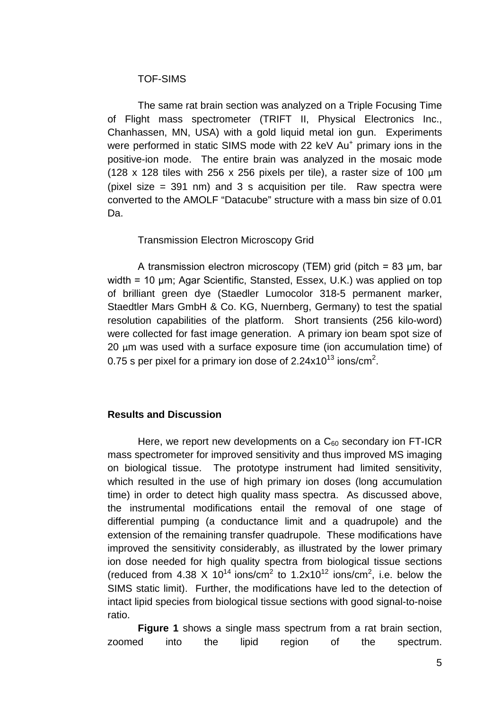## TOF-SIMS

The same rat brain section was analyzed on a Triple Focusing Time of Flight mass spectrometer (TRIFT II, Physical Electronics Inc., Chanhassen, MN, USA) with a gold liquid metal ion gun. Experiments were performed in static SIMS mode with 22 keV Au<sup>+</sup> primary ions in the positive-ion mode. The entire brain was analyzed in the mosaic mode (128 x 128 tiles with 256 x 256 pixels per tile), a raster size of 100  $\mu$ m (pixel size = 391 nm) and 3 s acquisition per tile. Raw spectra were converted to the AMOLF "Datacube" structure with a mass bin size of 0.01 Da.

## Transmission Electron Microscopy Grid

A transmission electron microscopy (TEM) grid (pitch = 83 μm, bar width = 10 μm; Agar Scientific, Stansted, Essex, U.K.) was applied on top of brilliant green dye (Staedler Lumocolor 318-5 permanent marker, Staedtler Mars GmbH & Co. KG, Nuernberg, Germany) to test the spatial resolution capabilities of the platform. Short transients (256 kilo-word) were collected for fast image generation. A primary ion beam spot size of 20 um was used with a surface exposure time (ion accumulation time) of 0.75 s per pixel for a primary ion dose of 2.24x10 $^{\text{13}}$  ions/cm $^{\text{2}}$ .

## **Results and Discussion**

Here, we report new developments on a  $C_{60}$  secondary ion FT-ICR mass spectrometer for improved sensitivity and thus improved MS imaging on biological tissue. The prototype instrument had limited sensitivity, which resulted in the use of high primary ion doses (long accumulation time) in order to detect high quality mass spectra. As discussed above, the instrumental modifications entail the removal of one stage of differential pumping (a conductance limit and a quadrupole) and the extension of the remaining transfer quadrupole. These modifications have improved the sensitivity considerably, as illustrated by the lower primary ion dose needed for high quality spectra from biological tissue sections (reduced from 4.38 X 10<sup>14</sup> ions/cm<sup>2</sup> to 1.2x10<sup>12</sup> ions/cm<sup>2</sup>, i.e. below the SIMS static limit). Further, the modifications have led to the detection of intact lipid species from biological tissue sections with good signal-to-noise ratio.

**Figure 1** shows a single mass spectrum from a rat brain section, zoomed into the lipid region of the spectrum.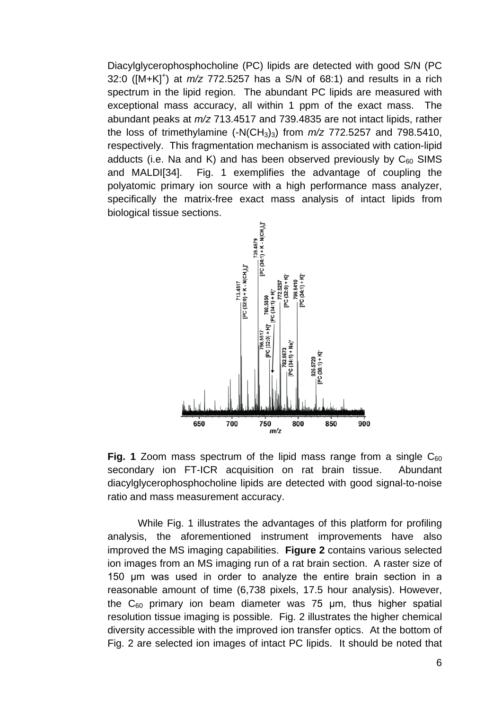Diacylglycerophosphocholine (PC) lipids are detected with good S/N (PC 32:0 ([M+K]<sup>+</sup>) at  $m/z$  772.5257 has a S/N of 68:1) and results in a rich spectrum in the lipid region. The abundant PC lipids are measured with exceptional mass accuracy, all within 1 ppm of the exact mass. The abundant peaks at *m/z* 713.4517 and 739.4835 are not intact lipids, rather the loss of trimethylamine  $(-N(CH_3)_3)$  from  $m/z$  772.5257 and 798.5410, respectively. This fragmentation mechanism is associated with cation-lipid adducts (i.e. Na and K) and has been observed previously by  $C_{60}$  SIMS and MALDI[34]. Fig. 1 exemplifies the advantage of coupling the polyatomic primary ion source with a high performance mass analyzer, specifically the matrix-free exact mass analysis of intact lipids from biological tissue sections.



**Fig. 1** Zoom mass spectrum of the lipid mass range from a single  $C_{60}$ secondary ion FT-ICR acquisition on rat brain tissue. Abundant diacylglycerophosphocholine lipids are detected with good signal-to-noise ratio and mass measurement accuracy.

While Fig. 1 illustrates the advantages of this platform for profiling analysis, the aforementioned instrument improvements have also improved the MS imaging capabilities. **Figure 2** contains various selected ion images from an MS imaging run of a rat brain section. A raster size of 150 μm was used in order to analyze the entire brain section in a reasonable amount of time (6,738 pixels, 17.5 hour analysis). However, the  $C_{60}$  primary ion beam diameter was 75  $\mu$ m, thus higher spatial resolution tissue imaging is possible. Fig. 2 illustrates the higher chemical diversity accessible with the improved ion transfer optics. At the bottom of Fig. 2 are selected ion images of intact PC lipids. It should be noted that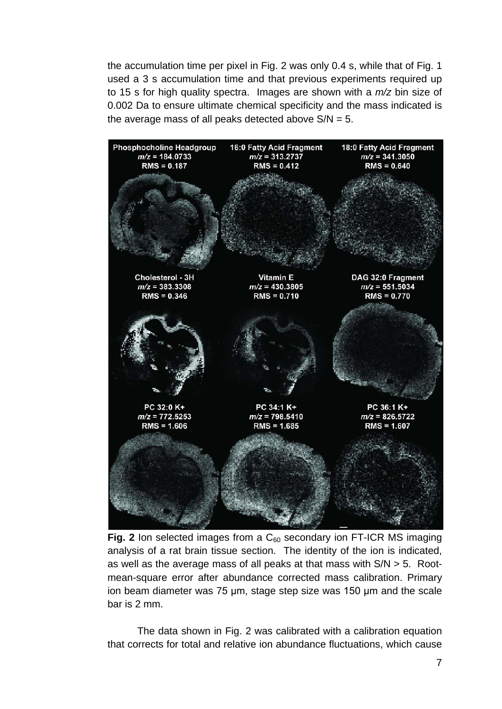the accumulation time per pixel in Fig. 2 was only 0.4 s, while that of Fig. 1 used a 3 s accumulation time and that previous experiments required up to 15 s for high quality spectra. Images are shown with a *m/z* bin size of 0.002 Da to ensure ultimate chemical specificity and the mass indicated is the average mass of all peaks detected above  $S/N = 5$ .



**Fig. 2** Ion selected images from a  $C_{60}$  secondary ion FT-ICR MS imaging analysis of a rat brain tissue section. The identity of the ion is indicated, as well as the average mass of all peaks at that mass with S/N > 5. Rootmean-square error after abundance corrected mass calibration. Primary ion beam diameter was 75 μm, stage step size was 150 μm and the scale bar is 2 mm.

The data shown in Fig. 2 was calibrated with a calibration equation that corrects for total and relative ion abundance fluctuations, which cause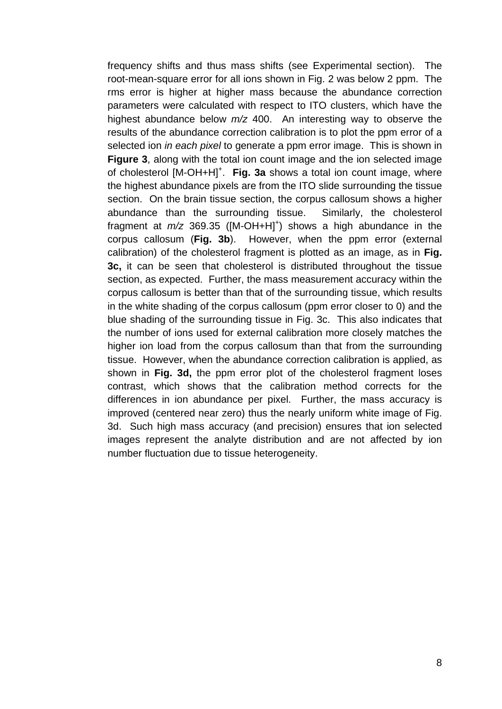frequency shifts and thus mass shifts (see Experimental section). The root-mean-square error for all ions shown in Fig. 2 was below 2 ppm. The rms error is higher at higher mass because the abundance correction parameters were calculated with respect to ITO clusters, which have the highest abundance below *m/z* 400. An interesting way to observe the results of the abundance correction calibration is to plot the ppm error of a selected ion *in each pixel* to generate a ppm error image. This is shown in **Figure 3**, along with the total ion count image and the ion selected image of cholesterol [M-OH+H]<sup>+</sup>. Fig. 3a shows a total ion count image, where the highest abundance pixels are from the ITO slide surrounding the tissue section. On the brain tissue section, the corpus callosum shows a higher abundance than the surrounding tissue. Similarly, the cholesterol fragment at  $m/z$  369.35 ([M-OH+H]<sup>+</sup>) shows a high abundance in the corpus callosum (**Fig. 3b**). However, when the ppm error (external calibration) of the cholesterol fragment is plotted as an image, as in **Fig. 3c,** it can be seen that cholesterol is distributed throughout the tissue section, as expected. Further, the mass measurement accuracy within the corpus callosum is better than that of the surrounding tissue, which results in the white shading of the corpus callosum (ppm error closer to 0) and the blue shading of the surrounding tissue in Fig. 3c. This also indicates that the number of ions used for external calibration more closely matches the higher ion load from the corpus callosum than that from the surrounding tissue. However, when the abundance correction calibration is applied, as shown in **Fig. 3d,** the ppm error plot of the cholesterol fragment loses contrast, which shows that the calibration method corrects for the differences in ion abundance per pixel. Further, the mass accuracy is improved (centered near zero) thus the nearly uniform white image of Fig. 3d. Such high mass accuracy (and precision) ensures that ion selected images represent the analyte distribution and are not affected by ion number fluctuation due to tissue heterogeneity.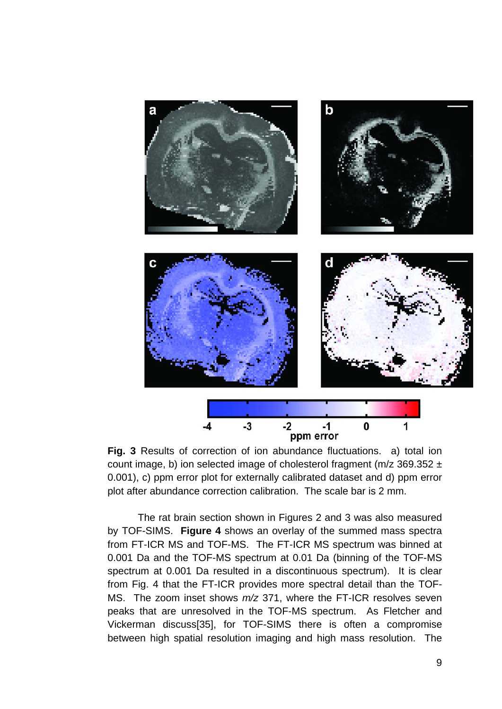

**Fig. 3** Results of correction of ion abundance fluctuations. a) total ion count image, b) ion selected image of cholesterol fragment ( $m/z$  369.352  $\pm$ 0.001), c) ppm error plot for externally calibrated dataset and d) ppm error plot after abundance correction calibration. The scale bar is 2 mm.

The rat brain section shown in Figures 2 and 3 was also measured by TOF-SIMS. **Figure 4** shows an overlay of the summed mass spectra from FT-ICR MS and TOF-MS. The FT-ICR MS spectrum was binned at 0.001 Da and the TOF-MS spectrum at 0.01 Da (binning of the TOF-MS spectrum at 0.001 Da resulted in a discontinuous spectrum). It is clear from Fig. 4 that the FT-ICR provides more spectral detail than the TOF-MS. The zoom inset shows *m/z* 371, where the FT-ICR resolves seven peaks that are unresolved in the TOF-MS spectrum. As Fletcher and Vickerman discuss[35], for TOF-SIMS there is often a compromise between high spatial resolution imaging and high mass resolution. The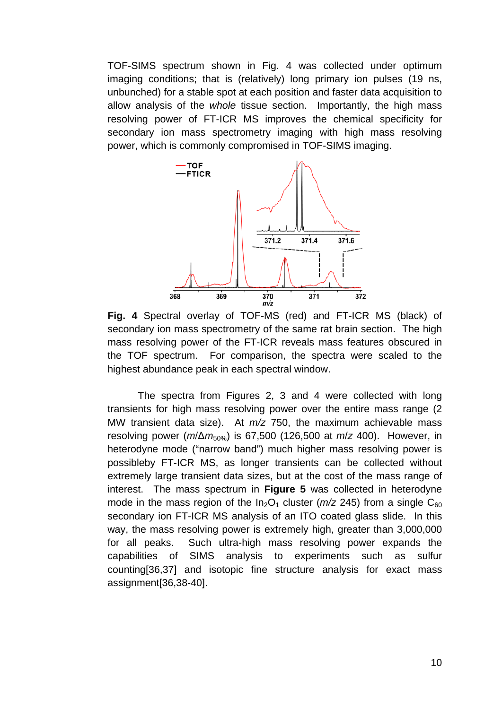TOF-SIMS spectrum shown in Fig. 4 was collected under optimum imaging conditions; that is (relatively) long primary ion pulses (19 ns, unbunched) for a stable spot at each position and faster data acquisition to allow analysis of the *whole* tissue section. Importantly, the high mass resolving power of FT-ICR MS improves the chemical specificity for secondary ion mass spectrometry imaging with high mass resolving power, which is commonly compromised in TOF-SIMS imaging.



**Fig. 4** Spectral overlay of TOF-MS (red) and FT-ICR MS (black) of secondary ion mass spectrometry of the same rat brain section. The high mass resolving power of the FT-ICR reveals mass features obscured in the TOF spectrum. For comparison, the spectra were scaled to the highest abundance peak in each spectral window.

The spectra from Figures 2, 3 and 4 were collected with long transients for high mass resolving power over the entire mass range (2 MW transient data size). At *m/z* 750, the maximum achievable mass resolving power (*m*/Δ*m*50%) is 67,500 (126,500 at *m*/*z* 400). However, in heterodyne mode ("narrow band") much higher mass resolving power is possibleby FT-ICR MS, as longer transients can be collected without extremely large transient data sizes, but at the cost of the mass range of interest. The mass spectrum in **Figure 5** was collected in heterodyne mode in the mass region of the  $In_2O_1$  cluster ( $m/z$  245) from a single  $C_{60}$ secondary ion FT-ICR MS analysis of an ITO coated glass slide. In this way, the mass resolving power is extremely high, greater than 3,000,000 for all peaks. Such ultra-high mass resolving power expands the capabilities of SIMS analysis to experiments such as sulfur counting[36,37] and isotopic fine structure analysis for exact mass assignment[36,38-40].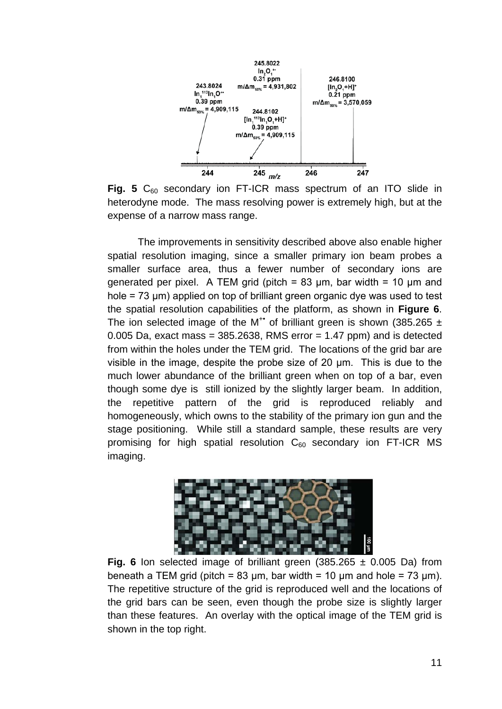

**Fig. 5** C<sub>60</sub> secondary ion FT-ICR mass spectrum of an ITO slide in heterodyne mode. The mass resolving power is extremely high, but at the expense of a narrow mass range.

The improvements in sensitivity described above also enable higher spatial resolution imaging, since a smaller primary ion beam probes a smaller surface area, thus a fewer number of secondary ions are generated per pixel. A TEM grid (pitch =  $83 \mu m$ , bar width =  $10 \mu m$  and hole = 73 μm) applied on top of brilliant green organic dye was used to test the spatial resolution capabilities of the platform, as shown in **Figure 6**. The ion selected image of the M<sup>+•</sup> of brilliant green is shown (385.265  $\pm$ 0.005 Da, exact mass =  $385.2638$ , RMS error =  $1.47$  ppm) and is detected from within the holes under the TEM grid. The locations of the grid bar are visible in the image, despite the probe size of 20 μm. This is due to the much lower abundance of the brilliant green when on top of a bar, even though some dye is still ionized by the slightly larger beam. In addition, the repetitive pattern of the grid is reproduced reliably and homogeneously, which owns to the stability of the primary ion gun and the stage positioning. While still a standard sample, these results are very promising for high spatial resolution  $C_{60}$  secondary ion FT-ICR MS imaging.



**Fig. 6** Ion selected image of brilliant green  $(385.265 \pm 0.005)$  Da) from beneath a TEM grid (pitch =  $83 \mu m$ , bar width =  $10 \mu m$  and hole =  $73 \mu m$ ). The repetitive structure of the grid is reproduced well and the locations of the grid bars can be seen, even though the probe size is slightly larger than these features. An overlay with the optical image of the TEM grid is shown in the top right.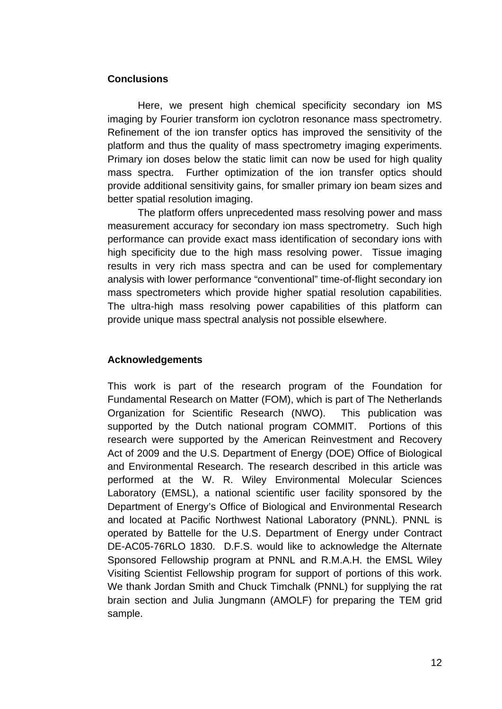## **Conclusions**

Here, we present high chemical specificity secondary ion MS imaging by Fourier transform ion cyclotron resonance mass spectrometry. Refinement of the ion transfer optics has improved the sensitivity of the platform and thus the quality of mass spectrometry imaging experiments. Primary ion doses below the static limit can now be used for high quality mass spectra. Further optimization of the ion transfer optics should provide additional sensitivity gains, for smaller primary ion beam sizes and better spatial resolution imaging.

The platform offers unprecedented mass resolving power and mass measurement accuracy for secondary ion mass spectrometry. Such high performance can provide exact mass identification of secondary ions with high specificity due to the high mass resolving power. Tissue imaging results in very rich mass spectra and can be used for complementary analysis with lower performance "conventional" time-of-flight secondary ion mass spectrometers which provide higher spatial resolution capabilities. The ultra-high mass resolving power capabilities of this platform can provide unique mass spectral analysis not possible elsewhere.

## **Acknowledgements**

This work is part of the research program of the Foundation for Fundamental Research on Matter (FOM), which is part of The Netherlands Organization for Scientific Research (NWO). This publication was supported by the Dutch national program COMMIT. Portions of this research were supported by the American Reinvestment and Recovery Act of 2009 and the U.S. Department of Energy (DOE) Office of Biological and Environmental Research. The research described in this article was performed at the W. R. Wiley Environmental Molecular Sciences Laboratory (EMSL), a national scientific user facility sponsored by the Department of Energy's Office of Biological and Environmental Research and located at Pacific Northwest National Laboratory (PNNL). PNNL is operated by Battelle for the U.S. Department of Energy under Contract DE-AC05-76RLO 1830. D.F.S. would like to acknowledge the Alternate Sponsored Fellowship program at PNNL and R.M.A.H. the EMSL Wiley Visiting Scientist Fellowship program for support of portions of this work. We thank Jordan Smith and Chuck Timchalk (PNNL) for supplying the rat brain section and Julia Jungmann (AMOLF) for preparing the TEM grid sample.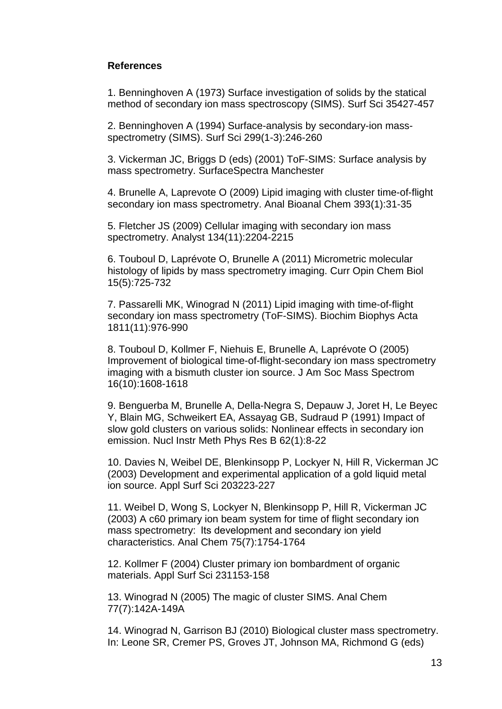## **References**

1. Benninghoven A (1973) Surface investigation of solids by the statical method of secondary ion mass spectroscopy (SIMS). Surf Sci 35427-457

2. Benninghoven A (1994) Surface-analysis by secondary-ion massspectrometry (SIMS). Surf Sci 299(1-3):246-260

3. Vickerman JC, Briggs D (eds) (2001) ToF-SIMS: Surface analysis by mass spectrometry. SurfaceSpectra Manchester

4. Brunelle A, Laprevote O (2009) Lipid imaging with cluster time-of-flight secondary ion mass spectrometry. Anal Bioanal Chem 393(1):31-35

5. Fletcher JS (2009) Cellular imaging with secondary ion mass spectrometry. Analyst 134(11):2204-2215

6. Touboul D, Laprévote O, Brunelle A (2011) Micrometric molecular histology of lipids by mass spectrometry imaging. Curr Opin Chem Biol 15(5):725-732

7. Passarelli MK, Winograd N (2011) Lipid imaging with time-of-flight secondary ion mass spectrometry (ToF-SIMS). Biochim Biophys Acta 1811(11):976-990

8. Touboul D, Kollmer F, Niehuis E, Brunelle A, Laprévote O (2005) Improvement of biological time-of-flight-secondary ion mass spectrometry imaging with a bismuth cluster ion source. J Am Soc Mass Spectrom 16(10):1608-1618

9. Benguerba M, Brunelle A, Della-Negra S, Depauw J, Joret H, Le Beyec Y, Blain MG, Schweikert EA, Assayag GB, Sudraud P (1991) Impact of slow gold clusters on various solids: Nonlinear effects in secondary ion emission. Nucl Instr Meth Phys Res B 62(1):8-22

10. Davies N, Weibel DE, Blenkinsopp P, Lockyer N, Hill R, Vickerman JC (2003) Development and experimental application of a gold liquid metal ion source. Appl Surf Sci 203223-227

11. Weibel D, Wong S, Lockyer N, Blenkinsopp P, Hill R, Vickerman JC (2003) A c60 primary ion beam system for time of flight secondary ion mass spectrometry:  Its development and secondary ion yield characteristics. Anal Chem 75(7):1754-1764

12. Kollmer F (2004) Cluster primary ion bombardment of organic materials. Appl Surf Sci 231153-158

13. Winograd N (2005) The magic of cluster SIMS. Anal Chem 77(7):142A-149A

14. Winograd N, Garrison BJ (2010) Biological cluster mass spectrometry. In: Leone SR, Cremer PS, Groves JT, Johnson MA, Richmond G (eds)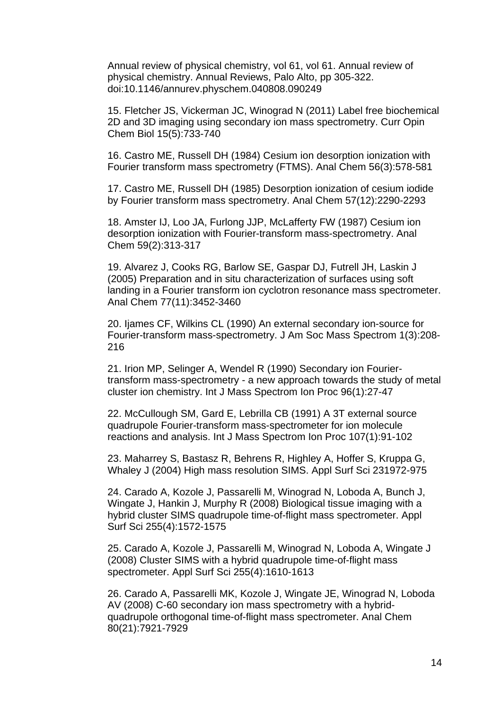Annual review of physical chemistry, vol 61, vol 61. Annual review of physical chemistry. Annual Reviews, Palo Alto, pp 305-322. doi:10.1146/annurev.physchem.040808.090249

15. Fletcher JS, Vickerman JC, Winograd N (2011) Label free biochemical 2D and 3D imaging using secondary ion mass spectrometry. Curr Opin Chem Biol 15(5):733-740

16. Castro ME, Russell DH (1984) Cesium ion desorption ionization with Fourier transform mass spectrometry (FTMS). Anal Chem 56(3):578-581

17. Castro ME, Russell DH (1985) Desorption ionization of cesium iodide by Fourier transform mass spectrometry. Anal Chem 57(12):2290-2293

18. Amster IJ, Loo JA, Furlong JJP, McLafferty FW (1987) Cesium ion desorption ionization with Fourier-transform mass-spectrometry. Anal Chem 59(2):313-317

19. Alvarez J, Cooks RG, Barlow SE, Gaspar DJ, Futrell JH, Laskin J (2005) Preparation and in situ characterization of surfaces using soft landing in a Fourier transform ion cyclotron resonance mass spectrometer. Anal Chem 77(11):3452-3460

20. Ijames CF, Wilkins CL (1990) An external secondary ion-source for Fourier-transform mass-spectrometry. J Am Soc Mass Spectrom 1(3):208- 216

21. Irion MP, Selinger A, Wendel R (1990) Secondary ion Fouriertransform mass-spectrometry - a new approach towards the study of metal cluster ion chemistry. Int J Mass Spectrom Ion Proc 96(1):27-47

22. McCullough SM, Gard E, Lebrilla CB (1991) A 3T external source quadrupole Fourier-transform mass-spectrometer for ion molecule reactions and analysis. Int J Mass Spectrom Ion Proc 107(1):91-102

23. Maharrey S, Bastasz R, Behrens R, Highley A, Hoffer S, Kruppa G, Whaley J (2004) High mass resolution SIMS. Appl Surf Sci 231972-975

24. Carado A, Kozole J, Passarelli M, Winograd N, Loboda A, Bunch J, Wingate J, Hankin J, Murphy R (2008) Biological tissue imaging with a hybrid cluster SIMS quadrupole time-of-flight mass spectrometer. Appl Surf Sci 255(4):1572-1575

25. Carado A, Kozole J, Passarelli M, Winograd N, Loboda A, Wingate J (2008) Cluster SIMS with a hybrid quadrupole time-of-flight mass spectrometer. Appl Surf Sci 255(4):1610-1613

26. Carado A, Passarelli MK, Kozole J, Wingate JE, Winograd N, Loboda AV (2008) C-60 secondary ion mass spectrometry with a hybridquadrupole orthogonal time-of-flight mass spectrometer. Anal Chem 80(21):7921-7929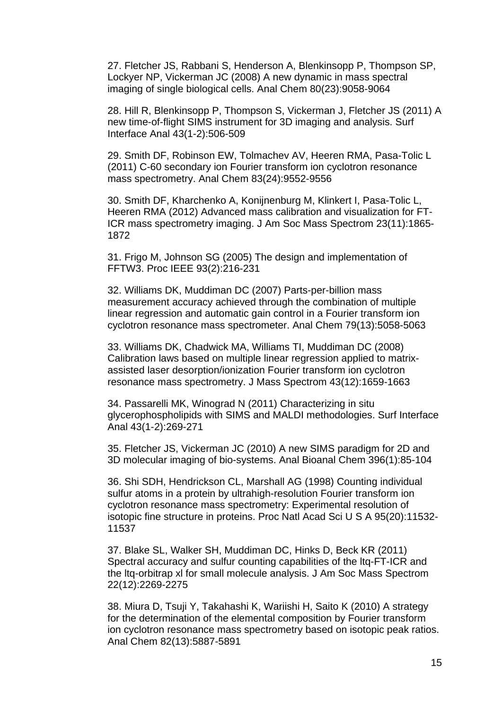27. Fletcher JS, Rabbani S, Henderson A, Blenkinsopp P, Thompson SP, Lockyer NP, Vickerman JC (2008) A new dynamic in mass spectral imaging of single biological cells. Anal Chem 80(23):9058-9064

28. Hill R, Blenkinsopp P, Thompson S, Vickerman J, Fletcher JS (2011) A new time-of-flight SIMS instrument for 3D imaging and analysis. Surf Interface Anal 43(1-2):506-509

29. Smith DF, Robinson EW, Tolmachev AV, Heeren RMA, Pasa-Tolic L (2011) C-60 secondary ion Fourier transform ion cyclotron resonance mass spectrometry. Anal Chem 83(24):9552-9556

30. Smith DF, Kharchenko A, Konijnenburg M, Klinkert I, Pasa-Tolic L, Heeren RMA (2012) Advanced mass calibration and visualization for FT-ICR mass spectrometry imaging. J Am Soc Mass Spectrom 23(11):1865- 1872

31. Frigo M, Johnson SG (2005) The design and implementation of FFTW3. Proc IEEE 93(2):216-231

32. Williams DK, Muddiman DC (2007) Parts-per-billion mass measurement accuracy achieved through the combination of multiple linear regression and automatic gain control in a Fourier transform ion cyclotron resonance mass spectrometer. Anal Chem 79(13):5058-5063

33. Williams DK, Chadwick MA, Williams TI, Muddiman DC (2008) Calibration laws based on multiple linear regression applied to matrixassisted laser desorption/ionization Fourier transform ion cyclotron resonance mass spectrometry. J Mass Spectrom 43(12):1659-1663

34. Passarelli MK, Winograd N (2011) Characterizing in situ glycerophospholipids with SIMS and MALDI methodologies. Surf Interface Anal 43(1-2):269-271

35. Fletcher JS, Vickerman JC (2010) A new SIMS paradigm for 2D and 3D molecular imaging of bio-systems. Anal Bioanal Chem 396(1):85-104

36. Shi SDH, Hendrickson CL, Marshall AG (1998) Counting individual sulfur atoms in a protein by ultrahigh-resolution Fourier transform ion cyclotron resonance mass spectrometry: Experimental resolution of isotopic fine structure in proteins. Proc Natl Acad Sci U S A 95(20):11532- 11537

37. Blake SL, Walker SH, Muddiman DC, Hinks D, Beck KR (2011) Spectral accuracy and sulfur counting capabilities of the ltq-FT-ICR and the ltq-orbitrap xl for small molecule analysis. J Am Soc Mass Spectrom 22(12):2269-2275

38. Miura D, Tsuji Y, Takahashi K, Wariishi H, Saito K (2010) A strategy for the determination of the elemental composition by Fourier transform ion cyclotron resonance mass spectrometry based on isotopic peak ratios. Anal Chem 82(13):5887-5891